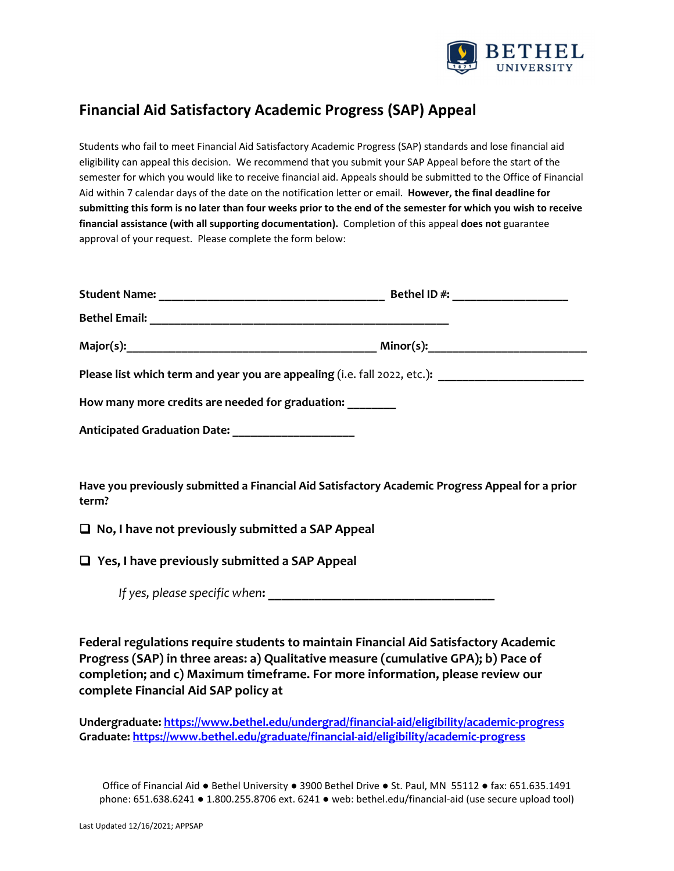

## **Financial Aid Satisfactory Academic Progress (SAP) Appeal**

Students who fail to meet Financial Aid Satisfactory Academic Progress (SAP) standards and lose financial aid eligibility can appeal this decision. We recommend that you submit your SAP Appeal before the start of the semester for which you would like to receive financial aid. Appeals should be submitted to the Office of Financial Aid within 7 calendar days of the date on the notification letter or email. **However, the final deadline for** submitting this form is no later than four weeks prior to the end of the semester for which you wish to receive **financial assistance (with all supporting documentation).** Completion of this appeal **does not** guarantee approval of your request. Please complete the form below:

|                                                      | Please list which term and year you are appealing (i.e. fall 2022, etc.): |  |
|------------------------------------------------------|---------------------------------------------------------------------------|--|
| How many more credits are needed for graduation:     |                                                                           |  |
| Anticipated Graduation Date: _______________________ |                                                                           |  |

**Have you previously submitted a Financial Aid Satisfactory Academic Progress Appeal for a prior term?**

**No, I have not previously submitted a SAP Appeal**

**Yes, I have previously submitted a SAP Appeal**

*If yes, please specific when***: \_\_\_\_\_\_\_\_\_\_\_\_\_\_\_\_\_\_\_\_\_\_\_\_\_\_\_\_\_\_\_\_\_\_**

**Federal regulations require students to maintain Financial Aid Satisfactory Academic Progress (SAP) in three areas: a) Qualitative measure (cumulative GPA); b) Pace of completion; and c) Maximum timeframe. For more information, please review our complete Financial Aid SAP policy at**

**Undergraduate: https://www.bethel.edu/undergrad/financial‐aid/eligibility/academic‐progress Graduate: https://www.bethel.edu/graduate/financial‐aid/eligibility/academic‐progress**

Office of Financial Aid ● Bethel University ● 3900 Bethel Drive ● St. Paul, MN 55112 ● fax: 651.635.1491 phone: 651.638.6241 ● 1.800.255.8706 ext. 6241 ● web: bethel.edu/financial‐aid (use secure upload tool)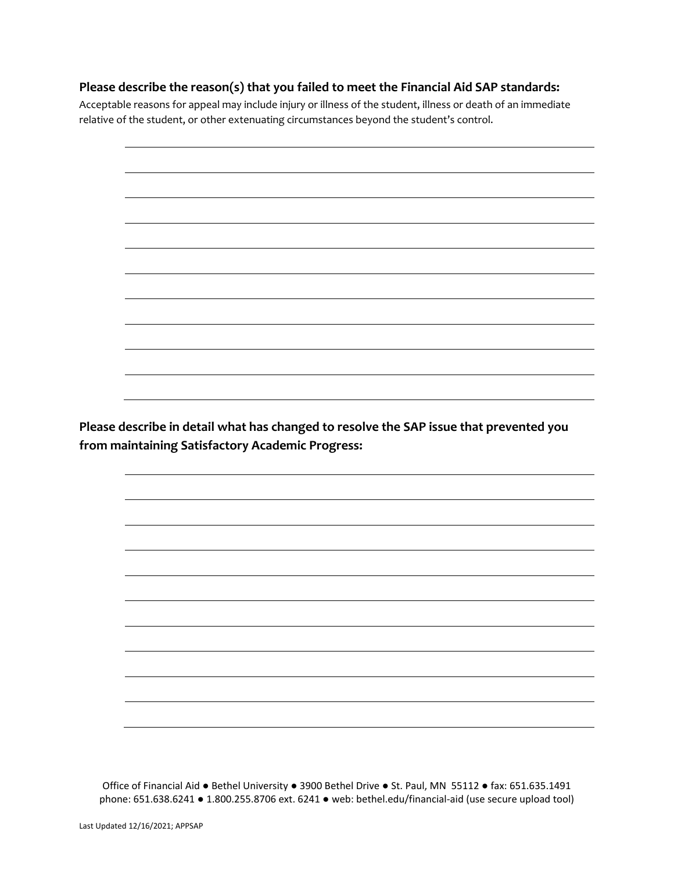## **Please describe the reason(s) that you failed to meet the Financial Aid SAP standards:**

Acceptable reasons for appeal may include injury or illness of the student, illness or death of an immediate relative of the student, or other extenuating circumstances beyond the student's control.



**from maintaining Satisfactory Academic Progress:**

Office of Financial Aid ● Bethel University ● 3900 Bethel Drive ● St. Paul, MN 55112 ● fax: 651.635.1491 phone: 651.638.6241 ● 1.800.255.8706 ext. 6241 ● web: bethel.edu/financial‐aid (use secure upload tool)